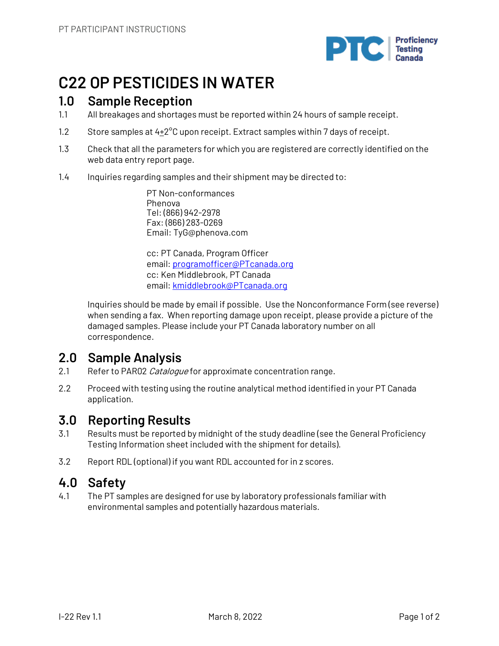

# **C22 OP PESTICIDES IN WATER**

# **1.0 Sample Reception**

- 1.1 All breakages and shortages must be reported within 24 hours of sample receipt.
- 1.2 Store samples at  $4\pm2^{\circ}$ C upon receipt. Extract samples within 7 days of receipt.
- 1.3 Check that all the parameters for which you are registered are correctly identified on the web data entry report page.
- 1.4 Inquiries regarding samples and their shipment may be directed to:

PT Non-conformances Phenova Tel: (866) 942-2978 Fax: (866) 283-0269 Email: TyG@phenova.com

cc: PT Canada, Program Officer email: programofficer@PTcanada.org cc: Ken Middlebrook, PT Canada email: kmiddlebrook@PTcanada.org

Inquiries should be made by email if possible. Use the Nonconformance Form (see reverse) when sending a fax. When reporting damage upon receipt, please provide a picture of the damaged samples. Please include your PT Canada laboratory number on all correspondence.

# **2.0 Sample Analysis**

- 2.1 Refer to PAR02 Cataloque for approximate concentration range.
- 2.2 Proceed with testing using the routine analytical method identified in your PT Canada application.

# **3.0 Reporting Results**

- 3.1 Results must be reported by midnight of the study deadline (see the General Proficiency Testing Information sheet included with the shipment for details).
- 3.2 Report RDL (optional) if you want RDL accounted for in z scores.

# **4.0 Safety**

4.1 The PT samples are designed for use by laboratory professionals familiar with environmental samples and potentially hazardous materials.